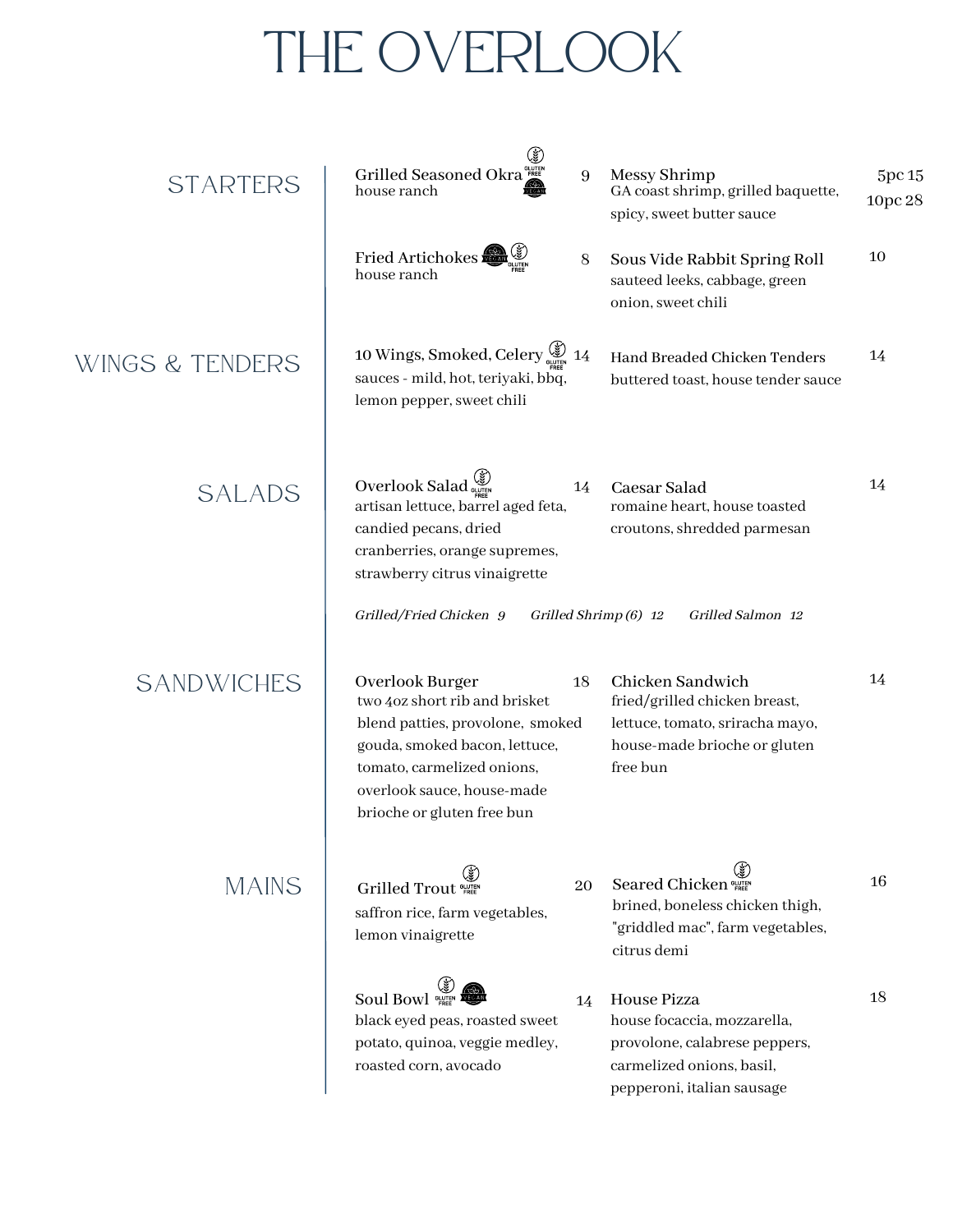# THE OVERLOOK

| <b>STARTERS</b>   | Grilled Seasoned Okra<br>house ranch                                                                                                                                                                            | 9  | Messy Shrimp<br>GA coast shrimp, grilled baquette,<br>spicy, sweet butter sauce                                                        | 5pc 15<br>10pc 28 |
|-------------------|-----------------------------------------------------------------------------------------------------------------------------------------------------------------------------------------------------------------|----|----------------------------------------------------------------------------------------------------------------------------------------|-------------------|
|                   | Fried Artichokes<br>house ranch                                                                                                                                                                                 | 8  | Sous Vide Rabbit Spring Roll<br>sauteed leeks, cabbage, green<br>onion, sweet chili                                                    | 10                |
| WINGS & TENDERS   | 10 Wings, Smoked, Celery (\$) 14<br>sauces - mild, hot, teriyaki, bbq,<br>lemon pepper, sweet chili                                                                                                             |    | Hand Breaded Chicken Tenders<br>buttered toast, house tender sauce                                                                     | 14                |
| <b>SALADS</b>     | Overlook Salad<br>artisan lettuce, barrel aged feta,<br>candied pecans, dried<br>cranberries, orange supremes,<br>strawberry citrus vinaigrette                                                                 | 14 | Caesar Salad<br>romaine heart, house toasted<br>croutons, shredded parmesan                                                            | 14                |
|                   | Grilled/Fried Chicken 9                                                                                                                                                                                         |    | Grilled Salmon 12<br>Grilled Shrimp (6) 12                                                                                             |                   |
| <b>SANDWICHES</b> | Overlook Burger<br>two 4oz short rib and brisket<br>blend patties, provolone, smoked<br>gouda, smoked bacon, lettuce,<br>tomato, carmelized onions,<br>overlook sauce, house-made<br>brioche or gluten free bun | 18 | Chicken Sandwich<br>fried/grilled chicken breast,<br>lettuce, tomato, sriracha mayo,<br>house-made brioche or gluten<br>free bun       | 14                |
| <b>MAINS</b>      | Grilled Trout<br>saffron rice, farm vegetables,<br>lemon vinaigrette                                                                                                                                            | 20 | Seared Chicken<br>brined, boneless chicken thigh,<br>"griddled mac", farm vegetables,<br>citrus demi                                   | 16                |
|                   | <b>Soul Bowl SHEER</b><br>black eyed peas, roasted sweet<br>potato, quinoa, veggie medley,<br>roasted corn, avocado                                                                                             | 14 | House Pizza<br>house focaccia, mozzarella,<br>provolone, calabrese peppers,<br>carmelized onions, basil,<br>pepperoni, italian sausage | 18                |